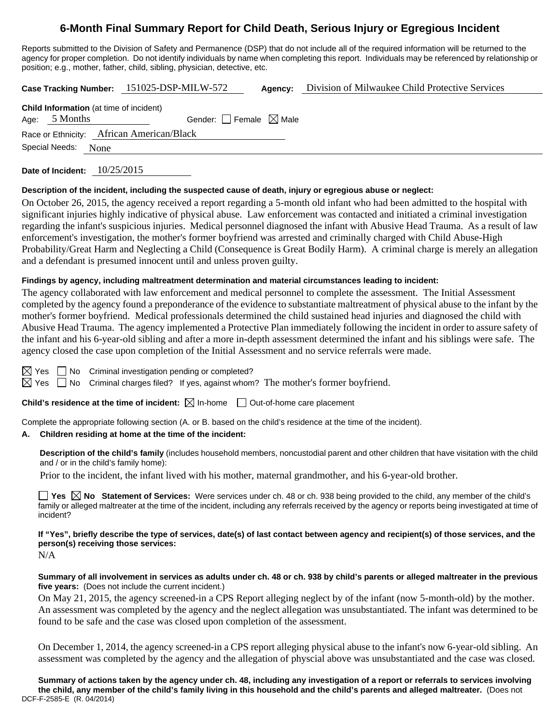# **6-Month Final Summary Report for Child Death, Serious Injury or Egregious Incident**

Reports submitted to the Division of Safety and Permanence (DSP) that do not include all of the required information will be returned to the agency for proper completion. Do not identify individuals by name when completing this report. Individuals may be referenced by relationship or position; e.g., mother, father, child, sibling, physician, detective, etc.

**Case Tracking Number:** 151025-DSP-MILW-572 **Agency:** Division of Milwaukee Child Protective Services

| <b>Child Information</b> (at time of incident) |               |  |                                        |  |  |  |  |
|------------------------------------------------|---------------|--|----------------------------------------|--|--|--|--|
|                                                | Age: 5 Months |  | Gender: $\Box$ Female $\boxtimes$ Male |  |  |  |  |
| Race or Ethnicity: African American/Black      |               |  |                                        |  |  |  |  |
| Special Needs: None                            |               |  |                                        |  |  |  |  |

**Date of Incident:** 10/25/2015

# **Description of the incident, including the suspected cause of death, injury or egregious abuse or neglect:**

On October 26, 2015, the agency received a report regarding a 5-month old infant who had been admitted to the hospital with significant injuries highly indicative of physical abuse. Law enforcement was contacted and initiated a criminal investigation regarding the infant's suspicious injuries. Medical personnel diagnosed the infant with Abusive Head Trauma. As a result of law enforcement's investigation, the mother's former boyfriend was arrested and criminally charged with Child Abuse-High Probability/Great Harm and Neglecting a Child (Consequence is Great Bodily Harm). A criminal charge is merely an allegation and a defendant is presumed innocent until and unless proven guilty.

# **Findings by agency, including maltreatment determination and material circumstances leading to incident:**

The agency collaborated with law enforcement and medical personnel to complete the assessment. The Initial Assessment completed by the agency found a preponderance of the evidence to substantiate maltreatment of physical abuse to the infant by the mother's former boyfriend. Medical professionals determined the child sustained head injuries and diagnosed the child with Abusive Head Trauma. The agency implemented a Protective Plan immediately following the incident in order to assure safety of the infant and his 6-year-old sibling and after a more in-depth assessment determined the infant and his siblings were safe. The agency closed the case upon completion of the Initial Assessment and no service referrals were made.

 $\boxtimes$  Yes  $\Box$  No Criminal investigation pending or completed?

 $\boxtimes$  Yes  $\Box$  No Criminal charges filed? If yes, against whom? The mother's former boyfriend.

**Child's residence at the time of incident:**  $\boxtimes$  In-home  $\Box$  Out-of-home care placement

Complete the appropriate following section (A. or B. based on the child's residence at the time of the incident).

# **A. Children residing at home at the time of the incident:**

**Description of the child's family** (includes household members, noncustodial parent and other children that have visitation with the child and / or in the child's family home):

Prior to the incident, the infant lived with his mother, maternal grandmother, and his 6-year-old brother.

**Yes No** Statement of Services: Were services under ch. 48 or ch. 938 being provided to the child, any member of the child's family or alleged maltreater at the time of the incident, including any referrals received by the agency or reports being investigated at time of incident?

**If "Yes", briefly describe the type of services, date(s) of last contact between agency and recipient(s) of those services, and the person(s) receiving those services:** 

N/A

**Summary of all involvement in services as adults under ch. 48 or ch. 938 by child's parents or alleged maltreater in the previous five years:** (Does not include the current incident.)

On May 21, 2015, the agency screened-in a CPS Report alleging neglect by of the infant (now 5-month-old) by the mother. An assessment was completed by the agency and the neglect allegation was unsubstantiated. The infant was determined to be found to be safe and the case was closed upon completion of the assessment.

On December 1, 2014, the agency screened-in a CPS report alleging physical abuse to the infant's now 6-year-old sibling. An assessment was completed by the agency and the allegation of physcial above was unsubstantiated and the case was closed.

DCF-F-2585-E (R. 04/2014) **Summary of actions taken by the agency under ch. 48, including any investigation of a report or referrals to services involving the child, any member of the child's family living in this household and the child's parents and alleged maltreater.** (Does not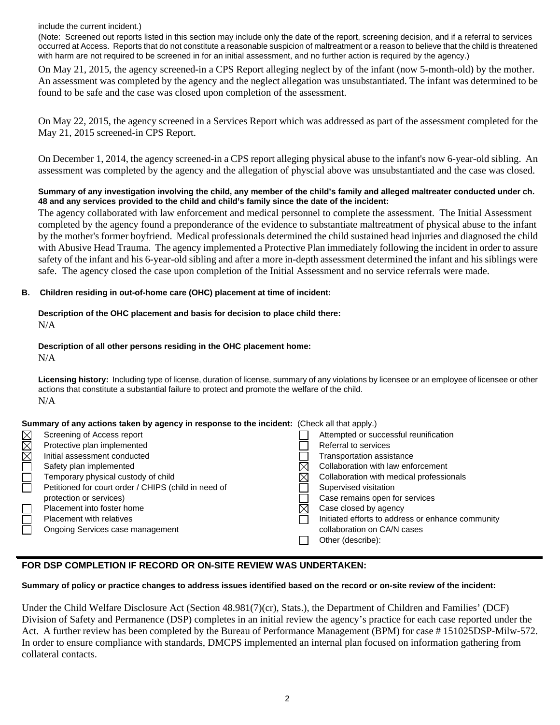include the current incident.)

(Note: Screened out reports listed in this section may include only the date of the report, screening decision, and if a referral to services occurred at Access. Reports that do not constitute a reasonable suspicion of maltreatment or a reason to believe that the child is threatened with harm are not required to be screened in for an initial assessment, and no further action is required by the agency.)

On May 21, 2015, the agency screened-in a CPS Report alleging neglect by of the infant (now 5-month-old) by the mother. An assessment was completed by the agency and the neglect allegation was unsubstantiated. The infant was determined to be found to be safe and the case was closed upon completion of the assessment.

On May 22, 2015, the agency screened in a Services Report which was addressed as part of the assessment completed for the May 21, 2015 screened-in CPS Report.

On December 1, 2014, the agency screened-in a CPS report alleging physical abuse to the infant's now 6-year-old sibling. An assessment was completed by the agency and the allegation of physcial above was unsubstantiated and the case was closed.

# **Summary of any investigation involving the child, any member of the child's family and alleged maltreater conducted under ch. 48 and any services provided to the child and child's family since the date of the incident:**

The agency collaborated with law enforcement and medical personnel to complete the assessment. The Initial Assessment completed by the agency found a preponderance of the evidence to substantiate maltreatment of physical abuse to the infant by the mother's former boyfriend. Medical professionals determined the child sustained head injuries and diagnosed the child with Abusive Head Trauma. The agency implemented a Protective Plan immediately following the incident in order to assure safety of the infant and his 6-year-old sibling and after a more in-depth assessment determined the infant and his siblings were safe. The agency closed the case upon completion of the Initial Assessment and no service referrals were made.

# **B. Children residing in out-of-home care (OHC) placement at time of incident:**

#### **Description of the OHC placement and basis for decision to place child there:**  N/A

# **Description of all other persons residing in the OHC placement home:**

N/A

**Licensing history:** Including type of license, duration of license, summary of any violations by licensee or an employee of licensee or other actions that constitute a substantial failure to protect and promote the welfare of the child. N/A

# **Summary of any actions taken by agency in response to the incident:** (Check all that apply.)

|        | Screening of Access report                           |  | Attempted or successful reunification             |  |  |
|--------|------------------------------------------------------|--|---------------------------------------------------|--|--|
| MMM    | Protective plan implemented                          |  | Referral to services                              |  |  |
|        | Initial assessment conducted                         |  | Transportation assistance                         |  |  |
| $\Box$ | Safety plan implemented                              |  | Collaboration with law enforcement                |  |  |
| $\Box$ | Temporary physical custody of child                  |  | Collaboration with medical professionals          |  |  |
|        | Petitioned for court order / CHIPS (child in need of |  | Supervised visitation                             |  |  |
|        | protection or services)                              |  | Case remains open for services                    |  |  |
|        | Placement into foster home                           |  | Case closed by agency                             |  |  |
| $\Box$ | <b>Placement with relatives</b>                      |  | Initiated efforts to address or enhance community |  |  |
|        | Ongoing Services case management                     |  | collaboration on CA/N cases                       |  |  |
|        |                                                      |  | Other (describe):                                 |  |  |
|        |                                                      |  |                                                   |  |  |

# **FOR DSP COMPLETION IF RECORD OR ON-SITE REVIEW WAS UNDERTAKEN:**

# **Summary of policy or practice changes to address issues identified based on the record or on-site review of the incident:**

Under the Child Welfare Disclosure Act (Section 48.981(7)(cr), Stats.), the Department of Children and Families' (DCF) Division of Safety and Permanence (DSP) completes in an initial review the agency's practice for each case reported under the Act. A further review has been completed by the Bureau of Performance Management (BPM) for case # 151025DSP-Milw-572. In order to ensure compliance with standards, DMCPS implemented an internal plan focused on information gathering from collateral contacts.